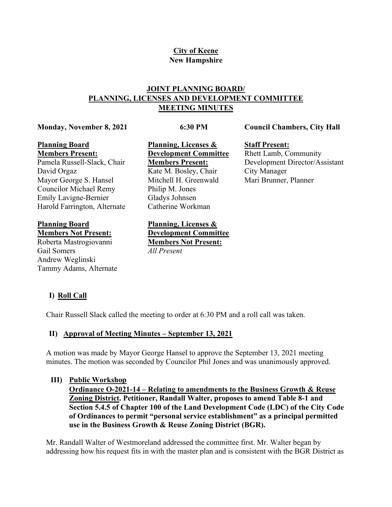## **City of Keene New Hampshire**

## **JOINT PLANNING BOARD/ PLANNING, LICENSES AND DEVELOPMENT COMMITTEE MEETING MINUTES**

#### **Monday, November 8, 2021**

### **6:30 PM**

**Council Chambers, City Hall** 

#### **Planning Board Members Present:**

Pamela Russell-Slack, Chair David Orgaz Mayor George S. Hansel Councilor Michael Remy Emily Lavigne-Bernier Harold Farrington, Alternate

**Planning Board Members Not Present:**

Roberta Mastrogiovanni Gail Somers Andrew Weglinski Tammy Adams, Alternate **Planning, Licenses & Development Committee Members Present:** Kate M. Bosley, Chair Mitchell H. Greenwald Philip M. Jones Gladys Johnsen Catherine Workman

**Planning, Licenses & Development Committee Members Not Present:** *All Present*

**Staff Present:**

Rhett Lamb, Community Development Director/Assistant City Manager Mari Brunner, Planner

# **I) Roll Call**

Chair Russell Slack called the meeting to order at 6:30 PM and a roll call was taken.

### **II) Approval of Meeting Minutes – September 13, 2021**

A motion was made by Mayor George Hansel to approve the September 13, 2021 meeting minutes. The motion was seconded by Councilor Phil Jones and was unanimously approved.

### **III) Public Workshop**

**Ordinance O-2021-14 – Relating to amendments to the Business Growth & Reuse Zoning District. Petitioner, Randall Walter, proposes to amend Table 8-1 and Section 5.4.5 of Chapter 100 of the Land Development Code (LDC) of the City Code of Ordinances to permit "personal service establishment" as a principal permitted use in the Business Growth & Reuse Zoning District (BGR).**

Mr. Randall Walter of Westmoreland addressed the committee first. Mr. Walter began by addressing how his request fits in with the master plan and is consistent with the BGR District as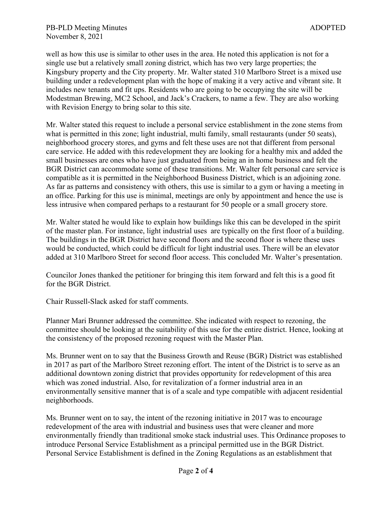well as how this use is similar to other uses in the area. He noted this application is not for a single use but a relatively small zoning district, which has two very large properties; the Kingsbury property and the City property. Mr. Walter stated 310 Marlboro Street is a mixed use building under a redevelopment plan with the hope of making it a very active and vibrant site. It includes new tenants and fit ups. Residents who are going to be occupying the site will be Modestman Brewing, MC2 School, and Jack's Crackers, to name a few. They are also working with Revision Energy to bring solar to this site.

Mr. Walter stated this request to include a personal service establishment in the zone stems from what is permitted in this zone; light industrial, multi family, small restaurants (under 50 seats), neighborhood grocery stores, and gyms and felt these uses are not that different from personal care service. He added with this redevelopment they are looking for a healthy mix and added the small businesses are ones who have just graduated from being an in home business and felt the BGR District can accommodate some of these transitions. Mr. Walter felt personal care service is compatible as it is permitted in the Neighborhood Business District, which is an adjoining zone. As far as patterns and consistency with others, this use is similar to a gym or having a meeting in an office. Parking for this use is minimal, meetings are only by appointment and hence the use is less intrusive when compared perhaps to a restaurant for 50 people or a small grocery store.

Mr. Walter stated he would like to explain how buildings like this can be developed in the spirit of the master plan. For instance, light industrial uses are typically on the first floor of a building. The buildings in the BGR District have second floors and the second floor is where these uses would be conducted, which could be difficult for light industrial uses. There will be an elevator added at 310 Marlboro Street for second floor access. This concluded Mr. Walter's presentation.

Councilor Jones thanked the petitioner for bringing this item forward and felt this is a good fit for the BGR District.

Chair Russell-Slack asked for staff comments.

Planner Mari Brunner addressed the committee. She indicated with respect to rezoning, the committee should be looking at the suitability of this use for the entire district. Hence, looking at the consistency of the proposed rezoning request with the Master Plan.

Ms. Brunner went on to say that the Business Growth and Reuse (BGR) District was established in 2017 as part of the Marlboro Street rezoning effort. The intent of the District is to serve as an additional downtown zoning district that provides opportunity for redevelopment of this area which was zoned industrial. Also, for revitalization of a former industrial area in an environmentally sensitive manner that is of a scale and type compatible with adjacent residential neighborhoods.

Ms. Brunner went on to say, the intent of the rezoning initiative in 2017 was to encourage redevelopment of the area with industrial and business uses that were cleaner and more environmentally friendly than traditional smoke stack industrial uses. This Ordinance proposes to introduce Personal Service Establishment as a principal permitted use in the BGR District. Personal Service Establishment is defined in the Zoning Regulations as an establishment that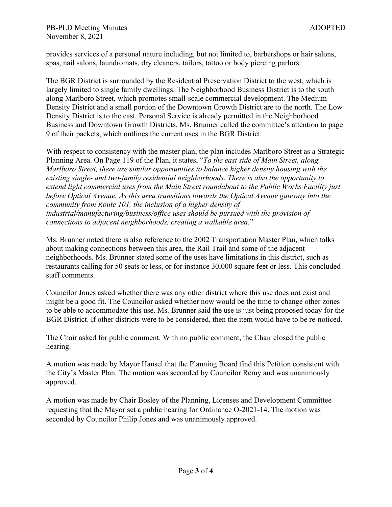provides services of a personal nature including, but not limited to, barbershops or hair salons, spas, nail salons, laundromats, dry cleaners, tailors, tattoo or body piercing parlors.

The BGR District is surrounded by the Residential Preservation District to the west, which is largely limited to single family dwellings. The Neighborhood Business District is to the south along Marlboro Street, which promotes small-scale commercial development. The Medium Density District and a small portion of the Downtown Growth District are to the north. The Low Density District is to the east. Personal Service is already permitted in the Neighborhood Business and Downtown Growth Districts. Ms. Brunner called the committee's attention to page 9 of their packets, which outlines the current uses in the BGR District.

With respect to consistency with the master plan, the plan includes Marlboro Street as a Strategic Planning Area. On Page 119 of the Plan, it states, "*To the east side of Main Street, along Marlboro Street, there are similar opportunities to balance higher density housing with the existing single- and two-family residential neighborhoods. There is also the opportunity to extend light commercial uses from the Main Street roundabout to the Public Works Facility just before Optical Avenue. As this area transitions towards the Optical Avenue gateway into the community from Route 101, the inclusion of a higher density of industrial/manufacturing/business/office uses should be pursued with the provision of connections to adjacent neighborhoods, creating a walkable area.*"

Ms. Brunner noted there is also reference to the 2002 Transportation Master Plan, which talks about making connections between this area, the Rail Trail and some of the adjacent neighborhoods. Ms. Brunner stated some of the uses have limitations in this district, such as restaurants calling for 50 seats or less, or for instance 30,000 square feet or less. This concluded staff comments.

Councilor Jones asked whether there was any other district where this use does not exist and might be a good fit. The Councilor asked whether now would be the time to change other zones to be able to accommodate this use. Ms. Brunner said the use is just being proposed today for the BGR District. If other districts were to be considered, then the item would have to be re-noticed.

The Chair asked for public comment. With no public comment, the Chair closed the public hearing.

A motion was made by Mayor Hansel that the Planning Board find this Petition consistent with the City's Master Plan. The motion was seconded by Councilor Remy and was unanimously approved.

A motion was made by Chair Bosley of the Planning, Licenses and Development Committee requesting that the Mayor set a public hearing for Ordinance O-2021-14. The motion was seconded by Councilor Philip Jones and was unanimously approved.